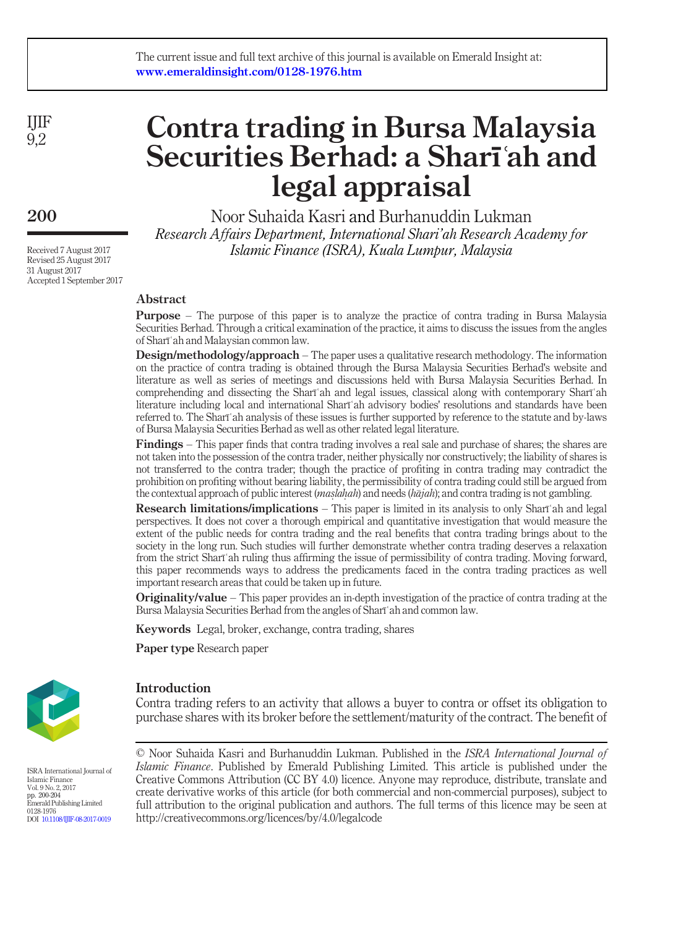IJIF 9,2

200

Received 7 August 2017 Revised 25 August 2017 31 August 2017 Accepted 1 September 2017

# Contra trading in Bursa Malaysia Securities Berhad: a Sharīʿah and legal appraisal

Noor Suhaida Kasri and Burhanuddin Lukman Research Affairs Department, International Shari'ah Research Academy for Islamic Finance (ISRA), Kuala Lumpur, Malaysia

# Abstract

Purpose – The purpose of this paper is to analyze the practice of contra trading in Bursa Malaysia Securities Berhad. Through a critical examination of the practice, it aims to discuss the issues from the angles of Sharīʿah and Malaysian common law.

Design/methodology/approach – The paper uses a qualitative research methodology. The information on the practice of contra trading is obtained through the Bursa Malaysia Securities Berhad's website and literature as well as series of meetings and discussions held with Bursa Malaysia Securities Berhad. In comprehending and dissecting the Sharīʿah and legal issues, classical along with contemporary Sharīʿah literature including local and international Sharīʿah advisory bodies' resolutions and standards have been referred to. The Sharīʿah analysis of these issues is further supported by reference to the statute and by-laws of Bursa Malaysia Securities Berhad as well as other related legal literature.

Findings – This paper finds that contra trading involves a real sale and purchase of shares; the shares are not taken into the possession of the contra trader, neither physically nor constructively; the liability of shares is not transferred to the contra trader; though the practice of profiting in contra trading may contradict the prohibition on profiting without bearing liability, the permissibility of contra trading could still be argued from the contextual approach of public interest (maslahah) and needs (hajah); and contra trading is not gambling.<br>**Peasage is limitational maliarities** as This negative limited in its anglusis to sale Sharish and l

Research limitations/implications – This paper is limited in its analysis to only Sharīʿah and legal perspectives. It does not cover a thorough empirical and quantitative investigation that would measure the extent of the public needs for contra trading and the real benefits that contra trading brings about to the society in the long run. Such studies will further demonstrate whether contra trading deserves a relaxation from the strict Sharīʿah ruling thus affirming the issue of permissibility of contra trading. Moving forward, this paper recommends ways to address the predicaments faced in the contra trading practices as well important research areas that could be taken up in future.

Originality/value – This paper provides an in-depth investigation of the practice of contra trading at the Bursa Malaysia Securities Berhad from the angles of Sharīʿah and common law.

Keywords Legal, broker, exchange, contra trading, shares

Paper type Research paper



Introduction

Contra trading refers to an activity that allows a buyer to contra or offset its obligation to purchase shares with its broker before the settlement/maturity of the contract. The benefit of

ISRA International Journal of Islamic Finance Vol. 9 No. 2, 2017 pp. 200-204 Emerald Publishing Limited 0128-1976 DOI [10.1108/IJIF-08-2017-0019](http://dx.doi.org/10.1108/IJIF-08-2017-0019)

© Noor Suhaida Kasri and Burhanuddin Lukman. Published in the ISRA International Journal of Islamic Finance. Published by Emerald Publishing Limited. This article is published under the Creative Commons Attribution (CC BY 4.0) licence. Anyone may reproduce, distribute, translate and create derivative works of this article (for both commercial and non-commercial purposes), subject to full attribution to the original publication and authors. The full terms of this licence may be seen at http://creativecommons.org/licences/by/4.0/legalcode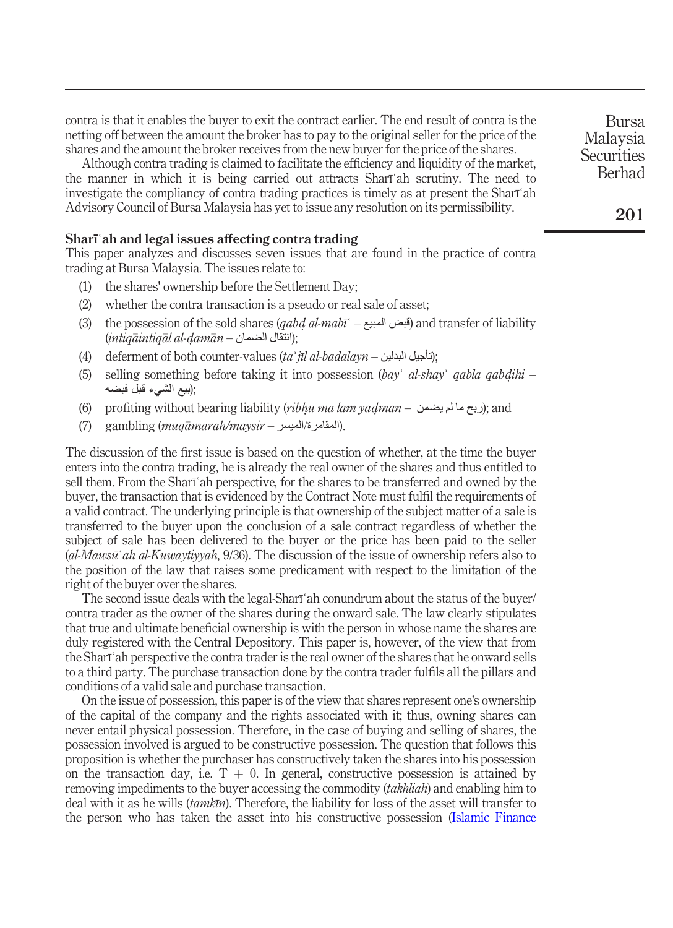contra is that it enables the buyer to exit the contract earlier. The end result of contra is the netting off between the amount the broker has to pay to the original seller for the price of the shares and the amount the broker receives from the new buyer for the price of the shares.

Although contra trading is claimed to facilitate the efficiency and liquidity of the market, the manner in which it is being carried out attracts Sharīʿah scrutiny. The need to investigate the compliancy of contra trading practices is timely as at present the Sharīʿah Advisory Council of Bursa Malaysia has yet to issue any resolution on its permissibility.

# Sharīʿah and legal issues affecting contra trading

This paper analyzes and discusses seven issues that are found in the practice of contra trading at Bursa Malaysia. The issues relate to:

- (1) the shares' ownership before the Settlement Day;
- (2) whether the contra transaction is a pseudo or real sale of asset;
- (3) the possession of the sold shares (*qabd al-mabī` قبض* المبيع and transfer of liability)<br>(intigāintigāl al-damān النتقل الضمان) (intiqāintiqāl al-ḍamān — انتقال الضمان);<br>defermant af hath asuntan salvas (taʾ
- (4) deferment of both counter-values (ta' jīl al-badalayn التأجيل البدلين(4);
- (5) selling something before taking it into possession (bayʿ al-shayʾ qabla qabdihi –<br>اللغة القديمة قلل فيضيه ;(بيع الشيء قبل فبضه
- (6) profiting without bearing liability (*ribhu ma lam yaḍman* (ربح ما لم يضمن); and<br>(7) propulsing (www.sayerah/www.sin
- (7) gambling (muqamarah/maysir المقامرة/الميسر).

The discussion of the first issue is based on the question of whether, at the time the buyer enters into the contra trading, he is already the real owner of the shares and thus entitled to sell them. From the Sharīʿah perspective, for the shares to be transferred and owned by the buyer, the transaction that is evidenced by the Contract Note must fulfil the requirements of a valid contract. The underlying principle is that ownership of the subject matter of a sale is transferred to the buyer upon the conclusion of a sale contract regardless of whether the subject of sale has been delivered to the buyer or the price has been paid to the seller (al-Mawsūʿah al-Kuwaytiyyah, 9/36). The discussion of the issue of ownership refers also to the position of the law that raises some predicament with respect to the limitation of the right of the buyer over the shares.

The second issue deals with the legal-Sharīʿah conundrum about the status of the buyer/ contra trader as the owner of the shares during the onward sale. The law clearly stipulates that true and ultimate beneficial ownership is with the person in whose name the shares are duly registered with the Central Depository. This paper is, however, of the view that from the Sharīʿah perspective the contra trader is the real owner of the shares that he onward sells to a third party. The purchase transaction done by the contra trader fulfils all the pillars and conditions of a valid sale and purchase transaction.

On the issue of possession, this paper is of the view that shares represent one's ownership of the capital of the company and the rights associated with it; thus, owning shares can never entail physical possession. Therefore, in the case of buying and selling of shares, the possession involved is argued to be constructive possession. The question that follows this proposition is whether the purchaser has constructively taken the shares into his possession on the transaction day, i.e.  $T + 0$ . In general, constructive possession is attained by removing impediments to the buyer accessing the commodity *(takhliah)* and enabling him to deal with it as he wills (*tamkīn*). Therefore, the liability for loss of the asset will transfer to the person who has taken the asset into his constructive possession [\(Islamic Finance](#page-4-0)

Bursa Malaysia **Securities** Berhad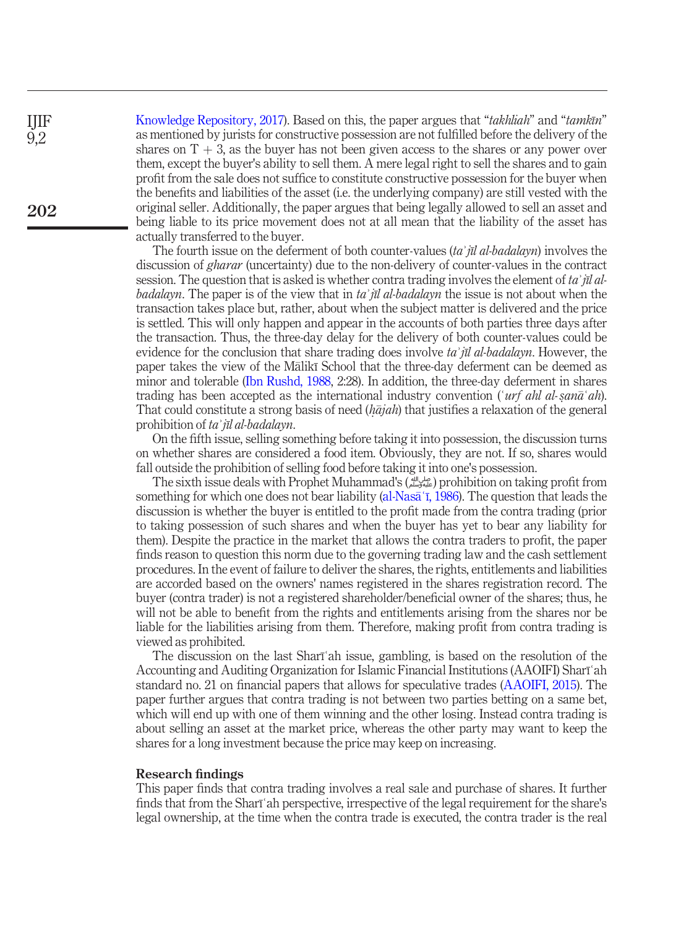[Knowledge Repository, 2017](#page-4-0)). Based on this, the paper argues that "takhliah" and "tamkīn" as mentioned by jurists for constructive possession are not fulfilled before the delivery of the shares on  $T + 3$ , as the buyer has not been given access to the shares or any power over them, except the buyer's ability to sell them. A mere legal right to sell the shares and to gain profit from the sale does not suffice to constitute constructive possession for the buyer when the benefits and liabilities of the asset (i.e. the underlying company) are still vested with the original seller. Additionally, the paper argues that being legally allowed to sell an asset and being liable to its price movement does not at all mean that the liability of the asset has actually transferred to the buyer. 202

> The fourth issue on the deferment of both counter-values *(ta' jīl al-badalayn)* involves the discussion of *gharar* (uncertainty) due to the non-delivery of counter-values in the contract session. The question that is asked is whether contra trading involves the element of ta' jīl albadalayn. The paper is of the view that in ta'  $\bar{\mathfrak{n}}$  al-badalayn the issue is not about when the transaction takes place but, rather, about when the subject matter is delivered and the price is settled. This will only happen and appear in the accounts of both parties three days after the transaction. Thus, the three-day delay for the delivery of both counter-values could be evidence for the conclusion that share trading does involve ta' jīl al-badalayn. However, the paper takes the view of the Malikī School that the three-day deferment can be deemed as minor and tolerable [\(Ibn Rushd, 1988,](#page-4-1) 2:28). In addition, the three-day deferment in shares trading has been accepted as the international industry convention ('*urf ahl al-s*)<br>That could constitute a strong basis of need *(hajah*) that justifies a relaxation of the trading has been accepted as the international industry convention ('*urf ahl al-san* $\bar{a}$ '*ah*). That could constitute a strong basis of need  $(h\bar{a}jah)$  that justifies a relaxation of the general probibition of ta  $\tilde{m}$  al-hadalayu prohibition of ta' jīl al-badalayn.

> On the fifth issue, selling something before taking it into possession, the discussion turns on whether shares are considered a food item. Obviously, they are not. If so, shares would fall outside the prohibition of selling food before taking it into one's possession.

> The sixth issue deals with Prophet Muhammad's (صلى الله عليه وسلم (prohibition on taking profit from something for which one does not bear liability ([al-Nas](#page-4-2)<del>a</del><sup>†</sup>, 1986). The question that leads the discussion is whether the buyer is entitled to the profit made from the contra trading (prior to taking possession of such shares and when the buyer has yet to bear any liability for them). Despite the practice in the market that allows the contra traders to profit, the paper finds reason to question this norm due to the governing trading law and the cash settlement procedures. In the event of failure to deliver the shares, the rights, entitlements and liabilities are accorded based on the owners' names registered in the shares registration record. The buyer (contra trader) is not a registered shareholder/beneficial owner of the shares; thus, he will not be able to benefit from the rights and entitlements arising from the shares nor be liable for the liabilities arising from them. Therefore, making profit from contra trading is viewed as prohibited.

> The discussion on the last Sharīʿah issue, gambling, is based on the resolution of the Accounting and Auditing Organization for Islamic Financial Institutions (AAOIFI) Sharīʿah standard no. 21 on financial papers that allows for speculative trades [\(AAOIFI, 2015\)](#page-4-3). The paper further argues that contra trading is not between two parties betting on a same bet, which will end up with one of them winning and the other losing. Instead contra trading is about selling an asset at the market price, whereas the other party may want to keep the shares for a long investment because the price may keep on increasing.

## Research findings

This paper finds that contra trading involves a real sale and purchase of shares. It further finds that from the Sharīʿah perspective, irrespective of the legal requirement for the share's legal ownership, at the time when the contra trade is executed, the contra trader is the real

IJIF 9,2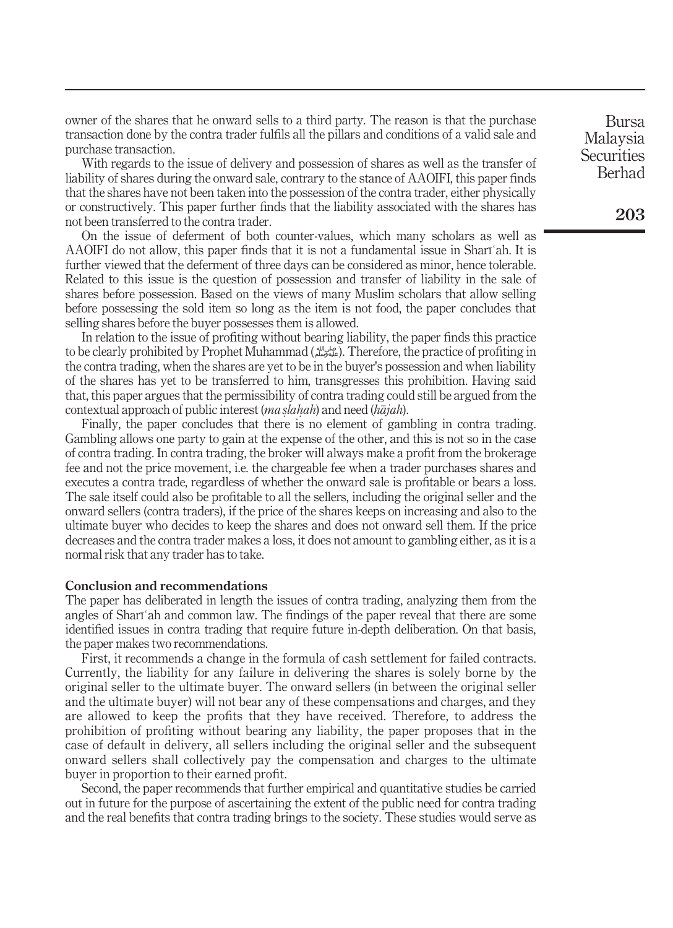owner of the shares that he onward sells to a third party. The reason is that the purchase transaction done by the contra trader fulfils all the pillars and conditions of a valid sale and purchase transaction.

With regards to the issue of delivery and possession of shares as well as the transfer of liability of shares during the onward sale, contrary to the stance of AAOIFI, this paper finds that the shares have not been taken into the possession of the contra trader, either physically or constructively. This paper further finds that the liability associated with the shares has not been transferred to the contra trader.

On the issue of deferment of both counter-values, which many scholars as well as AAOIFI do not allow, this paper finds that it is not a fundamental issue in Sharīʿah. It is further viewed that the deferment of three days can be considered as minor, hence tolerable. Related to this issue is the question of possession and transfer of liability in the sale of shares before possession. Based on the views of many Muslim scholars that allow selling before possessing the sold item so long as the item is not food, the paper concludes that selling shares before the buyer possesses them is allowed.

In relation to the issue of profiting without bearing liability, the paper finds this practice to be clearly prohibited by Prophet Muhammad (صلى الله عليه وسلم(. Therefore, the practice of profiting in the contra trading, when the shares are yet to be in the buyer's possession and when liability of the shares has yet to be transferred to him, transgresses this prohibition. Having said that, this paper argues that the permissibility of contra trading could still be argued from the contextual approach of public interest  $(ma slahah)$  and need  $(h\bar{a}jah)$ .<br>Finally the paper concludes that there is no element of gam

Finally, the paper concludes that there is no element of gambling in contra trading. Gambling allows one party to gain at the expense of the other, and this is not so in the case of contra trading. In contra trading, the broker will always make a profit from the brokerage fee and not the price movement, i.e. the chargeable fee when a trader purchases shares and executes a contra trade, regardless of whether the onward sale is profitable or bears a loss. The sale itself could also be profitable to all the sellers, including the original seller and the onward sellers (contra traders), if the price of the shares keeps on increasing and also to the ultimate buyer who decides to keep the shares and does not onward sell them. If the price decreases and the contra trader makes a loss, it does not amount to gambling either, as it is a normal risk that any trader has to take.

#### Conclusion and recommendations

The paper has deliberated in length the issues of contra trading, analyzing them from the angles of Sharīʿah and common law. The findings of the paper reveal that there are some identified issues in contra trading that require future in-depth deliberation. On that basis, the paper makes two recommendations.

First, it recommends a change in the formula of cash settlement for failed contracts. Currently, the liability for any failure in delivering the shares is solely borne by the original seller to the ultimate buyer. The onward sellers (in between the original seller and the ultimate buyer) will not bear any of these compensations and charges, and they are allowed to keep the profits that they have received. Therefore, to address the prohibition of profiting without bearing any liability, the paper proposes that in the case of default in delivery, all sellers including the original seller and the subsequent onward sellers shall collectively pay the compensation and charges to the ultimate buyer in proportion to their earned profit.

Second, the paper recommends that further empirical and quantitative studies be carried out in future for the purpose of ascertaining the extent of the public need for contra trading and the real benefits that contra trading brings to the society. These studies would serve as

Bursa Malaysia **Securities** Berhad

203